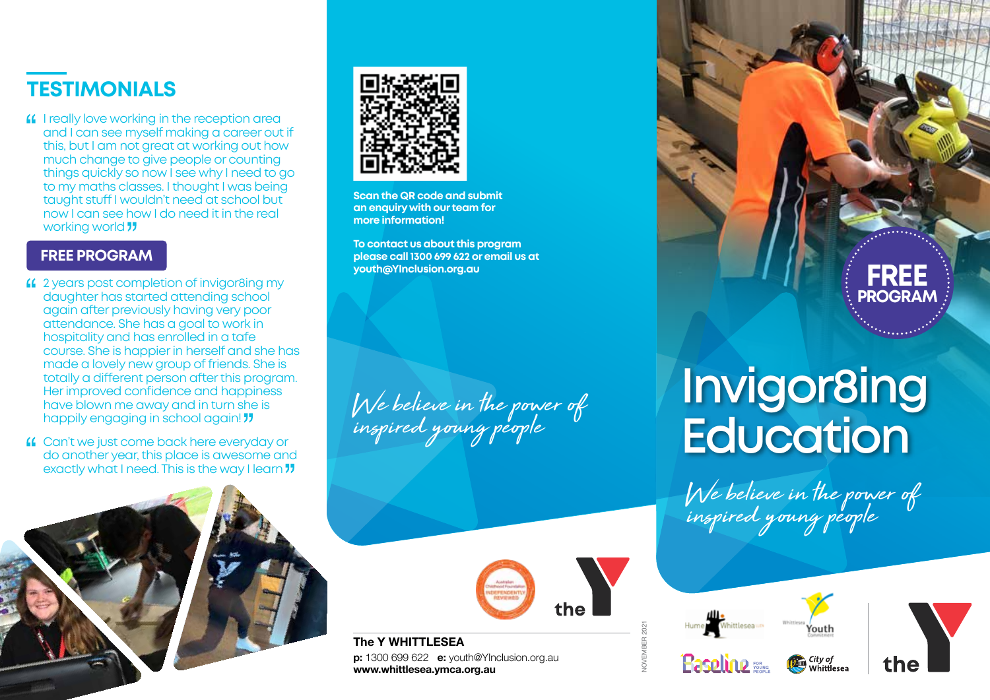

**If** I really love working in the reception area and I can see myself making a career out if this, but I am not great at working out how much change to give people or counting things quickly so now I see why I need to go to my maths classes. I thought I was being taught stuff I wouldn't need at school but now I can see how I do need it in the real working world **11** 

#### **FREE PROGRAM**

- 2 years post completion of invigor8ing my daughter has started attending school again after previously having very poor attendance. She has a goal to work in hospitality and has enrolled in a tafe course. She is happier in herself and she has made a lovely new group of friends. She is totally a different person after this program. Her improved confidence and happiness have blown me away and in turn she is happily engaging in school again! "
- Can't we just come back here everyday or do another year, this place is awesome and exactly what I need. This is the way I learn  $\overline{\nu}$





**Scan the QR code and submit an enquiry with our team for more information!**

**To contact us about this program please call 1300 699 622 or email us at youth@YInclusion.org.au FREE** 

We believe in the power of inspired young people



**The Y WHITTLESEA p:** 1300 699 622 **e:** youth@YInclusion.org.au **www.whittlesea.ymca.org.au** 

## NOVEMBER 2021

**Basplino** :::





**PROGRAM**

# **Invigor8ing Education**

We believe in the power of inspired young people